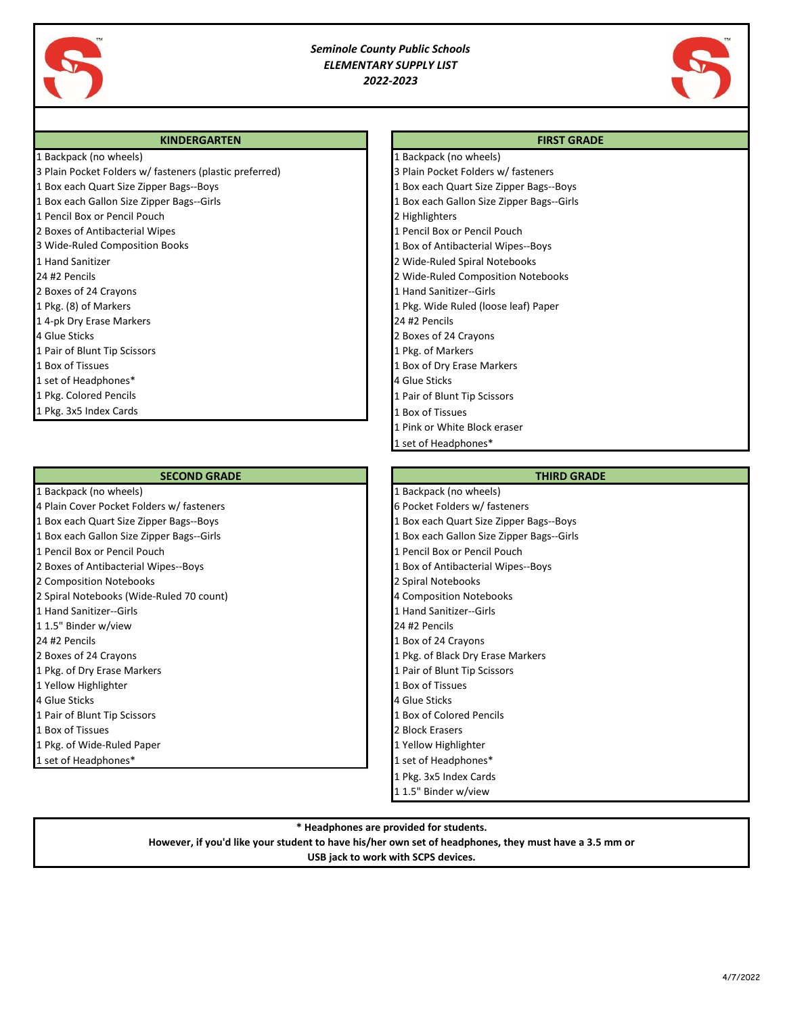

## *Seminole County Public Schools ELEMENTARY SUPPLY LIST 2022-2023*

1 Backpack (no wheels)

1 Pink or White Block eraser 1 set of Headphones\*



## **KINDERGARTEN FIRST GRADE**

|  | 1 Backpack (no wheels) |  |  |
|--|------------------------|--|--|
|--|------------------------|--|--|

3 Plain Pocket Folders w/ fasteners (plastic preferred) 3 Plain Pocket Folders w/ fasteners 1 Box each Quart Size Zipper Bags--Boys 1 Box each Quart Size Zipper Bags--Boys 1 Box each Gallon Size Zipper Bags--Girls 1 Box each Gallon Size Zipper Bags--Girls 1 Pencil Box or Pencil Pouch 2 Highlighters 2 Boxes of Antibacterial Wipes 1 Pencil Box or Pencil Pouch 3 Wide-Ruled Composition Books 1 Box of Antibacterial Wipes--Boys 1 Hand Sanitizer 2 Wide-Ruled Spiral Notebooks 24 #2 Pencils 2 Wide-Ruled Composition Notebooks 2 Boxes of 24 Crayons **1 Hand Sanitizer--Girls** 2 Boxes of 24 Crayons **1 Hand Sanitizer--Girls** 1 Pkg. (8) of Markers 1 Pkg. Wide Ruled (loose leaf) Paper 1 4-pk Dry Erase Markers 24 #2 Pencils 4 Glue Sticks 2 Boxes of 24 Crayons 1 Pair of Blunt Tip Scissors 1 Pair of Blunt Tip Scissors 1 Pair of Markers 1 Pkg. of Markers 1 Box of Tissues 1 Box of Dry Erase Markers 1 Box of Dry Erase Markers 1 set of Headphones\* 4 Glue Sticks 1 Pkg. Colored Pencils 1 Pair of Blunt Tip Scissors 1 Pkg. 3x5 Index Cards 1 Box of Tissues

### **SECOND GRADE THIRD GRADE THIRD GRADE**

- 
- 
- 
- 
- 
- 
- 
- 2 Spiral Notebooks (Wide-Ruled 70 count) 4 Composition Notebooks
- 
- 
- 
- 
- 
- 
- 
- 
- 
- 
- 

## 1 Backpack (no wheels) **1 Backpack (no wheels)** 1 Backpack (no wheels) 4 Plain Cover Pocket Folders w/ fasteners 6 Pocket Folders w/ fasteners 6 Pocket Folders w/ fasteners 1 Box each Quart Size Zipper Bags--Boys 1 Box each Quart Size Zipper Bags--Boys 1 Box each Gallon Size Zipper Bags--Girls 1 Box each Gallon Size Zipper Bags--Girls 1 Pencil Box or Pencil Pouch 1 Pencil Box or Pencil Pouch 2 Boxes of Antibacterial Wipes--Boys 1 Box of Antibacterial Wipes--Boys 2 Composition Notebooks 2 Spiral Notebooks 1 Hand Sanitizer--Girls 1 Hand Sanitizer--Girls 1 1.5" Binder w/view 24 #2 Pencils 24 #2 Pencils 1 Box of 24 Crayons 2 Boxes of 24 Crayons 1 Pkg. of Black Dry Erase Markers 1 Pkg. of Black Dry Erase Markers 1 Pkg. of Dry Erase Markers 1 Pair of Blunt Tip Scissors 1 Pair of Blunt Tip Scissors 1 Yellow Highlighter 1 Box of Tissues 4 Glue Sticks 4 Glue Sticks 1 Pair of Blunt Tip Scissors 1 Box of Colored Pencils **1 Box of Tissues 2 Block Erasers** 2 Block Erasers 1 Pkg. of Wide-Ruled Paper 1 Wide-Ruled Paper 1 Yellow Highlighter 1 set of Headphones\* 1 set of Headphones\* 1 Pkg. 3x5 Index Cards 1 1.5" Binder w/view

### **\* Headphones are provided for students.**

**However, if you'd like your student to have his/her own set of headphones, they must have a 3.5 mm or**

# **USB jack to work with SCPS devices.**